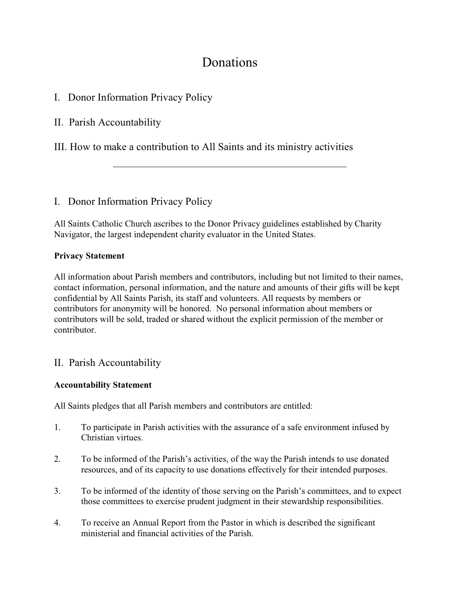# **Donations**

I. Donor Information Privacy Policy

II. Parish Accountability

III. How to make a contribution to All Saints and its ministry activities

## I. Donor Information Privacy Policy

All Saints Catholic Church ascribes to the Donor Privacy guidelines established by Charity Navigator, the largest independent charity evaluator in the United States.

#### **Privacy Statement**

All information about Parish members and contributors, including but not limited to their names, contact information, personal information, and the nature and amounts of their gifts will be kept confidential by All Saints Parish, its staff and volunteers. All requests by members or contributors for anonymity will be honored. No personal information about members or contributors will be sold, traded or shared without the explicit permission of the member or contributor.

### II. Parish Accountability

#### **Accountability Statement**

All Saints pledges that all Parish members and contributors are entitled:

- 1. To participate in Parish activities with the assurance of a safe environment infused by Christian virtues.
- 2. To be informed of the Parish's activities, of the way the Parish intends to use donated resources, and of its capacity to use donations effectively for their intended purposes.
- 3. To be informed of the identity of those serving on the Parish's committees, and to expect those committees to exercise prudent judgment in their stewardship responsibilities.
- 4. To receive an Annual Report from the Pastor in which is described the significant ministerial and financial activities of the Parish.